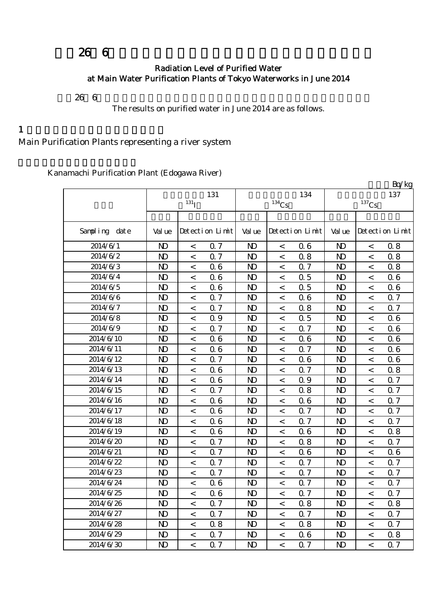# $266$

#### Radiation Level of Purified Water at Main Water Purification Plants of Tokyo Waterworks in June 2014

 $266$ 

The results on purified water in June 2014 are as follows.

 $1$ 

Main Purification Plants representing a river system

Kanamachi Purification Plant (Edogawa River)

|               |                |                          |                 |                |          |                 |                |                          | Bq/kg           |
|---------------|----------------|--------------------------|-----------------|----------------|----------|-----------------|----------------|--------------------------|-----------------|
|               |                |                          | 131             |                |          | 134             |                |                          | 137             |
|               |                | $131$ <sup>T</sup>       |                 |                | $134$ Cs |                 |                | $^{137}\mathrm{Cs}$      |                 |
|               |                |                          |                 |                |          |                 |                |                          |                 |
| Sampling date | Val ue         |                          | Detection Limit | Val ue         |          | Detection Limit | Val ue         |                          | Detection Limit |
| 2014/6/1      | N <sub>D</sub> | $\,<\,$                  | 0.7             | N <sub>D</sub> | $\,<$    | 06              | N <sub>D</sub> | $\,<$                    | 0.8             |
| 2014/6/2      | N <sub>D</sub> | $\lt$                    | Q 7             | $\mathbf{D}$   | $\,<$    | 0.8             | $\mathbf{D}$   | $\lt$                    | 0.8             |
| 2014/6/3      | N <sub>D</sub> | $\,<\,$                  | 06              | $\mathbf{D}$   | $\,<$    | Q 7             | $\mathbf{D}$   | $\,<\,$                  | 0.8             |
| 2014/6/4      | N <sub>D</sub> | $\,<\,$                  | 06              | $\mathbf{D}$   | $\,<$    | 0.5             | $\mathbf{D}$   | $\,<\,$                  | 0.6             |
| 2014/6/5      | N <sub>D</sub> | $\,<\,$                  | 06              | $\mathbf{D}$   | $\,<$    | 0.5             | N <sub>D</sub> | $\,<\,$                  | 06              |
| 2014/6/6      | N <sub>D</sub> | $\overline{\phantom{0}}$ | 0.7             | $\mathbf{D}$   | $\,<$    | 06              | $\mathbf{D}$   | $\overline{\phantom{0}}$ | 0.7             |
| 2014/6/7      | N <sub>D</sub> | $\,<\,$                  | 0.7             | $\mathbf{D}$   | $\,<$    | 0.8             | N <sub>D</sub> | $\overline{\phantom{0}}$ | 0.7             |
| 2014/6/8      | N <sub>D</sub> | $\,<\,$                  | 0.9             | $\mathbf{D}$   | $\,<$    | 0.5             | N <sub>D</sub> | $\,<\,$                  | 06              |
| 2014/6/9      | N <sub>D</sub> | $\overline{\phantom{0}}$ | Q 7             | $\mathbf{D}$   | $\,<\,$  | 0.7             | N <sub>D</sub> | $\lt$                    | 0.6             |
| 2014/6/10     | $\mathbf{D}$   | $\,<\,$                  | 06              | $\mathbf{D}$   | $\,<$    | 06              | $\mathbf{D}$   | $\,<\,$                  | 0.6             |
| 2014/6/11     | N <sub>D</sub> | $\,<\,$                  | 06              | $\mathbf{D}$   | $\,<$    | 0.7             | N <sub>D</sub> | $\,<\,$                  | 0.6             |
| 2014/6/12     | N <sub>D</sub> | $\,<\,$                  | 0.7             | $\mathbf{D}$   | $\,<$    | 06              | N <sub>D</sub> | $\,<\,$                  | 0.6             |
| 2014/6/13     | N <sub>D</sub> | $\,<\,$                  | 06              | N <sub>D</sub> | $\,<$    | 0.7             | N <sub>D</sub> | $\,<\,$                  | 0.8             |
| 2014/6/14     | N <sub>D</sub> | $\,<\,$                  | 06              | $\mathbf{D}$   | $\,<$    | 0.9             | N <sub>D</sub> | $\,<\,$                  | 0.7             |
| 2014/6/15     | N <sub>D</sub> | $\,<\,$                  | 0.7             | N <sub>D</sub> | $\,<$    | 0.8             | N <sub>D</sub> | $\,<$                    | 0.7             |
| 2014/6/16     | N <sub>D</sub> | $\,<\,$                  | 06              | $\mathbf{D}$   | $\,<$    | 06              | N <sub>D</sub> | $\,<\,$                  | 0.7             |
| 2014/6/17     | N <sub>D</sub> | $\,<\,$                  | 06              | $\mathbf{D}$   | $\,<$    | 0.7             | $\mathbf{D}$   | $\,<\,$                  | 0.7             |
| 2014/6/18     | N <sub>D</sub> | $\,<\,$                  | 06              | N <sub>D</sub> | $\,<$    | 0.7             | N <sub>D</sub> | $\,<\,$                  | 0.7             |
| 2014/6/19     | N <sub>D</sub> | $\lt$                    | 06              | $\mathbf{D}$   | $\,<$    | 06              | N <sub>D</sub> | $\,<\,$                  | 0.8             |
| 2014/6/20     | N <sub>D</sub> | $\,<\,$                  | 0.7             | $\mathbf{D}$   | $\,<$    | 0.8             | N <sub>D</sub> | $\,<\,$                  | 0.7             |
| 2014/6/21     | N <sub>D</sub> | $\,<\,$                  | Q 7             | $\mathbf{D}$   | $\,<$    | 06              | N <sub>D</sub> | $\,<\,$                  | 0.6             |
| 2014/6/22     | N <sub>D</sub> | $\,<\,$                  | 0.7             | $\mathbf{D}$   | $\,<$    | 0.7             | N <sub>D</sub> | $\lt$                    | 0.7             |
| 2014/6/23     | N <sub>D</sub> | $\,<\,$                  | 0.7             | $\mathbf{D}$   | $\,<\,$  | 0.7             | N <sub>D</sub> | $\lt$                    | 0.7             |
| 2014/6/24     | N <sub>D</sub> | $\,<\,$                  | 06              | $\mathbf{D}$   | $\,<\,$  | Q 7             | N <sub>D</sub> | $\,<\,$                  | 0.7             |
| 2014/6/25     | N <sub>D</sub> | $\,<\,$                  | 06              | $\mathbf{D}$   | $\,<\,$  | 0.7             | $\mathbf{D}$   | $\,<\,$                  | 0.7             |
| 2014/6/26     | N <sub>D</sub> | $\,<\,$                  | 0.7             | $\mathbf{D}$   | $\,<$    | 0.8             | $\mathbf{D}$   | $\,<\,$                  | 0.8             |
| 2014/6/27     | N <sub>D</sub> | $\,<\,$                  | 0.7             | N <sub>D</sub> | $\,<$    | 0.7             | N <sub>D</sub> | $\,<\,$                  | 0.7             |
| 2014/6/28     | N <sub>D</sub> | $\,<\,$                  | 0.8             | $\mathbf{D}$   | $\,<$    | 0.8             | $\mathbf{D}$   | $\,<\,$                  | 0.7             |
| 2014/6/29     | $\mathbf{D}$   | $\,<\,$                  | 0.7             | N <sub>D</sub> | $\,<$    | 06              | $\mathbf{D}$   | $\,<\,$                  | 0.8             |
| 2014/6/30     | N <sub>D</sub> | $\overline{\phantom{0}}$ | 0.7             | $\mathbf{D}$   | $\,<$    | 0.7             | $\mathbf{D}$   | $\overline{\phantom{0}}$ | $0.7\,$         |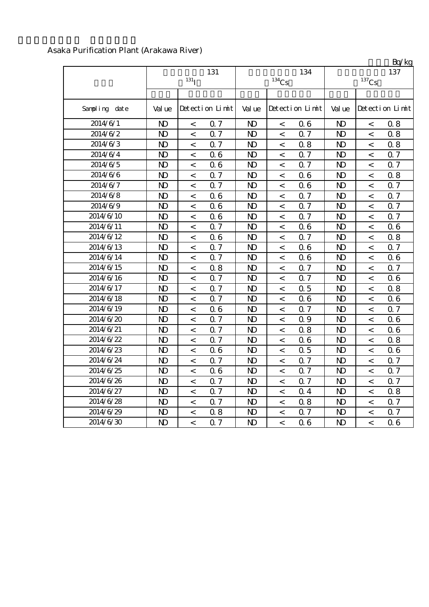|                                                                                                                   |                            | Bq/kg           |  |  |
|-------------------------------------------------------------------------------------------------------------------|----------------------------|-----------------|--|--|
| 131<br>134<br>$131$ <sup>T</sup><br>$^{134}\mathrm{Cs}$                                                           | 137<br>$^{137}\mathrm{Cs}$ |                 |  |  |
|                                                                                                                   |                            |                 |  |  |
| Sampling date<br>Detection Limit<br>Detection Limit<br>Val ue<br>Val ue<br>Val ue                                 |                            | Detection Limit |  |  |
| 2014/6/1<br>N <sub>D</sub><br>06<br>N <sub>D</sub><br>0.7<br>N <sub>D</sub><br>$\,<\,$<br>$\,<\,$                 | $\,<$                      | 0.8             |  |  |
| 2014/6/2<br>0.7<br>N <sub>D</sub><br>0.7<br>$\mathbf{D}$<br>N <sub>D</sub><br>$\overline{\phantom{0}}$<br>$\,<\,$ | $\prec$                    | 0.8             |  |  |
| 2014/6/3<br>N <sub>D</sub><br>0.7<br>0.8<br>$\mathbf{N}$<br>N <sub>D</sub><br>$\,<\,$<br>$\,<\,$                  | $\prec$                    | 0.8             |  |  |
| 2014/6/4<br>N <sub>D</sub><br>06<br>N <sub>D</sub><br>0.7<br>$\mathbf{D}$<br>$\lt$<br>$\,<\,$                     | $\,<$                      | 0.7             |  |  |
| 2014/6/5<br>Q 7<br>N <sub>D</sub><br>06<br>N <sub>D</sub><br>$\mathbf{D}$<br>$\lt$<br>$\lt$                       | $\lt$                      | 0.7             |  |  |
| 2014/6/6<br>N <sub>D</sub><br>0.7<br>06<br>N <sub>D</sub><br>N <sub>D</sub><br>$\lt$<br>$\,<\,$                   | $\lt$                      | 0.8             |  |  |
| 2014/6/7<br>N <sub>D</sub><br>0.7<br>06<br>$\mathbf{D}$<br>N <sub>D</sub><br>$\,<\,$<br>$\,<$                     | $\,<$                      | 0.7             |  |  |
| 2014/6/8<br>$\mathbf{D}$<br>N <sub>D</sub><br>06<br>$\mathbf{D}$<br>0.7<br>$\,<\,$<br>$\,<\,$                     | $\,<$                      | 0.7             |  |  |
| 2014/6/9<br>N <sub>D</sub><br>06<br>0.7<br>$\mathbf{D}$<br>N <sub>D</sub><br>$\,<\,$<br>$\,<\,$                   | $\,<$                      | 0.7             |  |  |
| 2014/6/10<br>N <sub>D</sub><br>06<br>0.7<br>$\mathbf{D}$<br>N <sub>D</sub><br>$\,<\,$<br>$\,<\,$                  | $\overline{a}$             | 0.7             |  |  |
| 2014/6/11<br>N <sub>D</sub><br>0.7<br>N <sub>D</sub><br>06<br>$\mathbf{D}$<br>$\,<\,$<br>$\,<\,$                  | $\,<$                      | 0.6             |  |  |
| 2014/6/12<br>N <sub>D</sub><br>$\mathbf{D}$<br>06<br>N <sub>D</sub><br>0.7<br>$\,<\,$<br>$\lt$                    | $\,<$                      | 0.8             |  |  |
| 2014/6/13<br>0.7<br>$\mathbf{D}$<br>N <sub>D</sub><br>N <sub>D</sub><br>06<br>$\,<\,$<br>$\,<\,$                  | $\,<$                      | 0.7             |  |  |
| 2014/6/14<br>N <sub>D</sub><br>Q 7<br>$\mathbf{D}$<br>N <sub>D</sub><br>06<br>$\lt$<br>$\,<\,$                    | $\,<$                      | 0.6             |  |  |
| 2014/6/15<br>N <sub>D</sub><br>$\mathbf{D}$<br>0.8<br>$\mathbf{D}$<br>0.7<br>$\,<\,$<br>$\,<$                     | $\lt$                      | 0.7             |  |  |
| 2014/6/16<br>N <sub>D</sub><br>0.7<br>Q 7<br>$\mathbf{D}$<br>N <sub>D</sub><br>$\,<\,$<br>$\,<\,$                 | $\,<$                      | 0.6             |  |  |
| 2014/6/17<br>N <sub>D</sub><br>0.7<br>0.5<br>N <sub>D</sub><br>N <sub>D</sub><br>$\,<\,$<br>$\,<\,$               | $\,<$                      | 0.8             |  |  |
| 2014/6/18<br>Q 7<br>N <sub>D</sub><br>06<br>$\mathbf{D}$<br>N <sub>D</sub><br>$\,<\,$<br>$\,<\,$                  | $\,<$                      | 0.6             |  |  |
| 2014/6/19<br>N <sub>D</sub><br>06<br>Q 7<br>$\mathbf{D}$<br>N <sub>D</sub><br>$\overline{\phantom{0}}$<br>$\lt$   | $\overline{a}$             | 0.7             |  |  |
| 2014/6/20<br>Q 7<br>Q 9<br>$\mathbf{D}$<br>N <sub>D</sub><br>N <sub>D</sub><br>$\,<\,$<br>$\,<\,$                 | $\prec$                    | 0.6             |  |  |
| 2014/6/21<br>0.7<br>N <sub>D</sub><br>N <sub>D</sub><br>0.8<br>$\mathbf{D}$<br>$\,<\,$<br>$\,<\,$                 | $\,<$                      | 0.6             |  |  |
| Q 7<br>2014/6/22<br>N <sub>D</sub><br>06<br>$\mathbf{D}$<br>N <sub>D</sub><br>$\,<\,$<br>$\,<\,$                  | $\,<$                      | 0.8             |  |  |
| 2014/6/23<br>N <sub>D</sub><br>0.5<br>$\mathbf{D}$<br>06<br>$\mathbf{D}$<br>$\,<\,$<br>$\,<\,$                    | $\lt$                      | 0.6             |  |  |
| 2014/6/24<br>N <sub>D</sub><br>$\mathbf{D}$<br>0.7<br>$\mathbf{D}$<br>0.7<br>$\,<\,$<br>$\,<\,$                   | $\,<$                      | 0.7             |  |  |
| 2014/6/25<br>N <sub>D</sub><br>$\mathbf{D}$<br>0.7<br>$\mathbf{D}$<br>06<br>$\,<\,$<br>$\,<\,$                    | $\,<$                      | 0.7             |  |  |
| 2014/6/26<br>N <sub>D</sub><br>$\mathbf{D}$<br>0.7<br>N <sub>D</sub><br>0.7<br>$\,<\,$<br>$\,<\,$                 | $\,<$                      | 0.7             |  |  |
| 2014/6/27<br>N <sub>D</sub><br>0.7<br>$\mathbf{D}$<br>N <sub>D</sub><br>0.4<br>$\,<\,$<br>$\,<\,$                 | $\,<$                      | 0.8             |  |  |
| 2014/6/28<br>N <sub>D</sub><br>0.7<br>N <sub>D</sub><br>0.8<br>$\mathbf{D}$<br>$\,<\,$<br>$\,<\,$                 | $\,<$                      | 0.7             |  |  |
| 2014/6/29<br>N <sub>D</sub><br>0.8<br>N <sub>D</sub><br>0.7<br>$\mathbf{D}$<br>$\,<\,$<br>$\,<\,$                 | $\,<\,$                    | 0.7             |  |  |
| 2014/6/30<br>N <sub>D</sub><br>N <sub>D</sub><br>0.7<br>N <sub>D</sub><br>06<br>$\,<\,$<br>$\lt$                  | $\,<$                      | 0.6             |  |  |

#### Asaka Purification Plant (Arakawa River)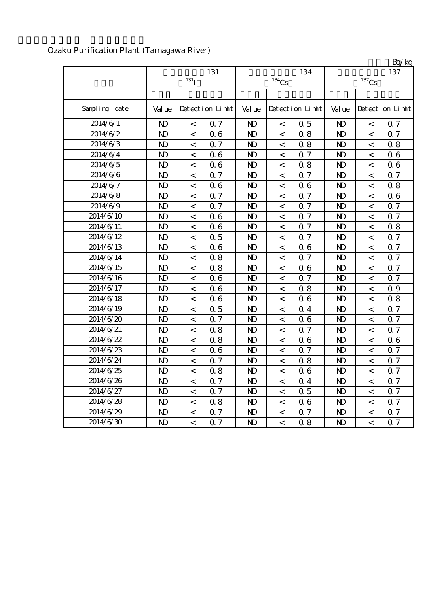|               |                |                          |                  |                |                     |                 |                |                          | Bq/kg            |
|---------------|----------------|--------------------------|------------------|----------------|---------------------|-----------------|----------------|--------------------------|------------------|
|               | 131            |                          |                  |                |                     | 134             |                | 137                      |                  |
|               |                | $131$ <sup>T</sup>       |                  |                | $^{134}\mathrm{Cs}$ |                 |                | $^{137}\mathrm{Cs}$      |                  |
|               |                |                          |                  |                |                     |                 |                |                          |                  |
| Sampling date | Val ue         |                          | Detection Limit  | Val ue         |                     | Detection Limit | Val ue         |                          | Detection Limit  |
| 2014/6/1      | N <sub>D</sub> | $\,<\,$                  | 0.7              | $\mathbf{D}$   | $\,<$               | 0.5             | $\mathbf{D}$   | $\,<\,$                  | 0.7              |
| 2014/6/2      | N <sub>D</sub> | $\,<\,$                  | 06               | $\mathbf{D}$   | $\,<\,$             | 0.8             | $\mathbf{D}$   | $\,<\,$                  | 0.7              |
| 2014/6/3      | $\mathbf{D}$   | $\prec$                  | Q 7              | $\mathbf{D}$   | $\,<$               | 0.8             | $\mathbf{D}$   | $\,<$                    | 0.8              |
| 2014/6/4      | $\mathbf{D}$   | $\,<\,$                  | 06               | $\mathbf{D}$   | $\,<$               | 0.7             | $\mathbf{D}$   | $\,<$                    | 0.6              |
| 2014/6/5      | N <sub>D</sub> | $\,<\,$                  | 06               | $\mathbf{D}$   | $\,<\,$             | 0.8             | $\mathbf{D}$   | $\,<\,$                  | 0.6              |
| 2014/6/6      | N <sub>D</sub> | $\,<\,$                  | 0.7              | $\mathbf{D}$   | $\,<$               | 0.7             | $\mathbf{D}$   | $\,<\,$                  | 0.7              |
| 2014/6/7      | N <sub>D</sub> | $\,<$                    | 06               | $\mathbf{D}$   | $\,<$               | 06              | N <sub>D</sub> | $\,<\,$                  | 0.8              |
| 2014/6/8      | N <sub>D</sub> | $\,<\,$                  | 0.7              | $\mathbf{D}$   | $\,<\,$             | 0.7             | $\mathbf{D}$   | $\,<\,$                  | 0.6              |
| 2014/6/9      | N <sub>D</sub> | $\,<\,$                  | 0.7              | $\mathbf{D}$   | $\,<$               | 0.7             | $\mathbf{D}$   | $\,<$                    | 0.7              |
| 2014/6/10     | N <sub>D</sub> | $\,<\,$                  | 06               | $\mathbf{D}$   | $\,<\,$             | 0.7             | $\mathbf{D}$   | $\,<\,$                  | 0.7              |
| 2014/6/11     | N <sub>D</sub> | $\,<\,$                  | 06               | $\mathbf{D}$   | $\,<$               | Q 7             | $\mathbf{D}$   | $\,<$                    | 0.8              |
| 2014/6/12     | N <sub>D</sub> | $\,<\,$                  | 0.5              | $\mathbf{D}$   | $\,<$               | Q 7             | $\mathbf{D}$   | $\,<\,$                  | 0.7              |
| 2014/6/13     | N <sub>D</sub> | $\,<\,$                  | 06               | $\mathbf{D}$   | $\,<$               | 06              | $\mathbf{D}$   | $\overline{\phantom{0}}$ | 0.7              |
| 2014/6/14     | N <sub>D</sub> | $\,<\,$                  | 0.8              | $\mathbf{D}$   | $\,<$               | 0.7             | $\mathbf{D}$   | $\overline{\phantom{0}}$ | 0.7              |
| 2014/6/15     | N <sub>D</sub> | $\,<\,$                  | 0.8              | $\mathbf{D}$   | $\,<\,$             | 06              | $\mathbf{D}$   | $\,<\,$                  | 0.7              |
| 2014/6/16     | N <sub>D</sub> | $\,<\,$                  | 06               | $\mathbf{D}$   | $\,<$               | 0.7             | $\mathbf{D}$   | $\,<\,$                  | 0.7              |
| 2014/6/17     | N <sub>D</sub> | $\,<$                    | 06               | $\mathbf{D}$   | $\lt$               | 0.8             | $\mathbf{D}$   | $\lt$                    | 0.9              |
| 2014/6/18     | N <sub>D</sub> | $\,<\,$                  | 06               | $\mathbf{D}$   | $\,<$               | 06              | $\mathbf{D}$   | $\,<\,$                  | 0.8              |
| 2014/6/19     | N <sub>D</sub> | $\,<\,$                  | 0.5              | $\mathbf{D}$   | $\,<$               | 0.4             | $\mathbf{D}$   | $\,<\,$                  | 0.7              |
| 2014/6/20     | N <sub>D</sub> | $\,<\,$                  | 0.7              | $\mathbf{D}$   | $\,<$               | 06              | $\mathbf{D}$   | $\,<$                    | 0.7              |
| 2014/6/21     | $\mathbf{D}$   | $\,<\,$                  | 0.8              | $\mathbf{D}$   | $\,<\,$             | 0.7             | $\mathbf{D}$   | $\,<\,$                  | 0.7              |
| 2014/6/22     | N <sub>D</sub> | $\,<\,$                  | 0.8              | $\mathbf{D}$   | $\,<\,$             | 06              | $\mathbf{D}$   | $\,<\,$                  | 0.6              |
| 2014/6/23     | $\mathbf{D}$   | $\,<\,$                  | 06               | $\mathbf{D}$   | $\,<$               | Q 7             | $\mathbf{D}$   | $\,<\,$                  | 0.7              |
| 2014/6/24     | $\mathbf{D}$   | $\,<$                    | Q 7              | $\mathbf{D}$   | $\,<$               | 0.8             | $\mathbf{D}$   | $\,<$                    | 0.7              |
| 2014/6/25     | N <sub>D</sub> | $\,<\,$                  | 0.8              | $\mathbf{D}$   | $\,<\,$             | 06              | $\mathbf{D}$   | $\,<\,$                  | 0.7              |
| 2014/6/26     | N <sub>D</sub> | $\,<\,$                  | 0.7              | $\mathbf{D}$   | $\,<$               | 0.4             | $\mathbf{D}$   | $\,<\,$                  | 0.7              |
| 2014/6/27     | N <sub>D</sub> | $\,<\,$                  | 0.7              | N <sub>D</sub> | $\,<\,$             | 0.5             | $\mathbf{D}$   | $\,<$                    | 0.7              |
| 2014/6/28     | N <sub>D</sub> | $\,<\,$                  | 0.8              | $\mathbf{D}$   | $\,<\,$             | 06              | $\mathbf{D}$   | $\,<\,$                  | 0.7              |
| 2014/6/29     | N)             | $\,<$                    | 0.7              | N <sub>D</sub> | $\,<$               | 0.7             | $\mathbf{D}$   | $\lt$                    | 0.7              |
| 2014/6/30     | $\mathbf{D}$   | $\overline{\phantom{0}}$ | $\overline{0}$ 7 | $\mathbf{D}$   | $\overline{a}$      | 0.8             | N <sub>D</sub> | $\overline{a}$           | $\overline{0.7}$ |

## Ozaku Purification Plant (Tamagawa River)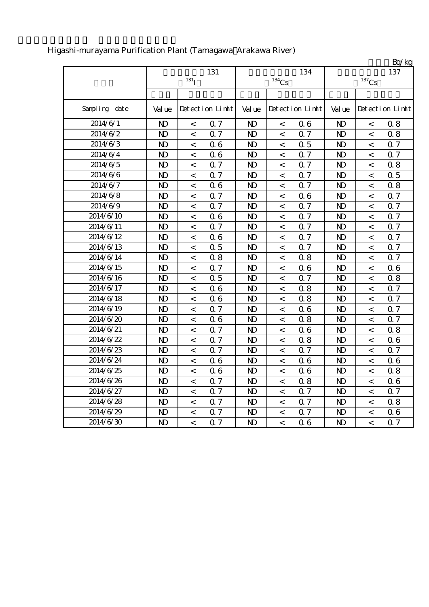|               |                |                  |                 |                |                          |                 |                |                          | Bq/kg           |
|---------------|----------------|------------------|-----------------|----------------|--------------------------|-----------------|----------------|--------------------------|-----------------|
|               |                |                  | 131             |                |                          | 134             |                |                          | 137             |
|               |                | 131 <sub>I</sub> |                 |                | $^{134}\mathrm{Cs}$      |                 |                | $^{137}\mathrm{Cs}$      |                 |
|               |                |                  |                 |                |                          |                 |                |                          |                 |
| Sampling date | Val ue         |                  | Detection Limit | Val ue         |                          | Detection Limit | Val ue         |                          | Detection Limit |
| 2014/6/1      | N <sub>D</sub> | $\,<$            | Q <sub>7</sub>  | N <sub>D</sub> | $\,<$                    | 06              | N <sub>D</sub> | $\,<$                    | 0.8             |
| 2014/6/2      | $\mathbf{D}$   | $\,<$            | 0.7             | $\mathbf{D}$   | $\,<\,$                  | 0.7             | $\mathbf{D}$   | $\,<\,$                  | 0.8             |
| 2014/6/3      | $\mathbf{D}$   | $\,<\,$          | 06              | $\mathbf{D}$   | $\,<\,$                  | 0.5             | $\mathbf{D}$   | $\,<\,$                  | 0.7             |
| 2014/6/4      | $\mathbf{D}$   | $\,<$            | 06              | $\mathbf{D}$   | $\,<\,$                  | 0.7             | $\mathbf{D}$   | $\,<\,$                  | 0.7             |
| 2014/6/5      | $\mathbf{D}$   | $\,<$            | 0.7             | $\mathbf{D}$   | $\,<\,$                  | 0.7             | $\mathbf{D}$   | $\,<\,$                  | 0.8             |
| 2014/6/6      | $\mathbf{D}$   | $\,<$            | Q 7             | $\mathbf{D}$   | $\,<\,$                  | 0.7             | $\mathbf{D}$   | $\,<$                    | 0.5             |
| 2014/6/7      | N <sub>D</sub> | $\,<$            | 06              | N <sub>D</sub> | $\,<\,$                  | 0.7             | $\mathbf{D}$   | $\,<\,$                  | 0.8             |
| 2014/6/8      | $\mathbf{D}$   | $\,<$            | Q 7             | $\mathbf{D}$   | $\,<\,$                  | 06              | $\mathbf{D}$   | $\,<\,$                  | 0.7             |
| 2014/6/9      | $\mathbf{D}$   | $\,<$            | 0.7             | $\mathbf{D}$   | $\,<$                    | 0.7             | N <sub>D</sub> | $\lt$                    | $0.7\,$         |
| 2014/6/10     | $\mathbf{D}$   | $\,<$            | 06              | $\mathbf{D}$   | $\lt$                    | 0.7             | $\mathbf{D}$   | $\,<$                    | 0.7             |
| 2014/6/11     | $\mathbf{D}$   | $\,<$            | 0.7             | $\mathbf{D}$   | $\,<$                    | 0.7             | $\mathbf{D}$   | $\,<$                    | 0.7             |
| 2014/6/12     | $\mathbf{D}$   | $\,<$            | 06              | N <sub>D</sub> | $\lt$                    | 0.7             | $\mathbf{D}$   | $\,<$                    | 0.7             |
| 2014/6/13     | $\mathbf{D}$   | $\,<$            | 0.5             | $\mathbf{D}$   | $\,<\,$                  | 0.7             | $\mathbf{D}$   | $\,<$                    | 0.7             |
| 2014/6/14     | $\mathbf{D}$   | $\,<$            | 0.8             | $\mathbf{D}$   | $\,<\,$                  | 0.8             | $\mathbf{D}$   | $\,<\,$                  | 0.7             |
| 2014/6/15     | $\mathbf{D}$   | $\,<$            | 0.7             | $\mathbf{D}$   | $\,<\,$                  | 06              | $\mathbf{D}$   | $\,<\,$                  | 0.6             |
| 2014/6/16     | $\mathbf{D}$   | $\,<$            | 0.5             | $\mathbf{D}$   | $\,<\,$                  | Q <sub>7</sub>  | $\mathbf{D}$   | $\,<\,$                  | 0.8             |
| 2014/6/17     | $\mathbf{D}$   | $\,<$            | 06              | $\mathbf{D}$   | $\,<\,$                  | 0.8             | $\mathbf{D}$   | $\,<$                    | 0.7             |
| 2014/6/18     | $\mathbf{D}$   | $\,<$            | 06              | $\mathbf{D}$   | $\,<\,$                  | 0.8             | $\mathbf{D}$   | $\,<$                    | 0.7             |
| 2014/6/19     | $\mathbf{D}$   | $\,<\,$          | Q 7             | $\mathbf{D}$   | $\overline{\phantom{0}}$ | 06              | $\mathbf{D}$   | $\overline{\phantom{a}}$ | 0.7             |
| 2014/6/20     | $\mathbf{D}$   | $\,<$            | 06              | $\mathbf{D}$   | $\,<$                    | 0.8             | $\mathbf{D}$   | $\lt$                    | 0.7             |
| 2014/6/21     | $\mathbf{D}$   | $\,<$            | 0.7             | $\mathbf{D}$   | $\lt$                    | 06              | $\mathbf{D}$   | $\,<$                    | 0.8             |
| 2014/6/22     | $\mathbf{D}$   | $\,<$            | 0.7             | $\mathbf{D}$   | $\,<$                    | 0.8             | $\mathbf{D}$   | $\,<\,$                  | 0.6             |
| 2014/6/23     | N <sub>D</sub> | $\,<$            | 0.7             | N <sub>D</sub> | $\,<\,$                  | 0.7             | N <sub>D</sub> | $\,<$                    | 0.7             |
| 2014/6/24     | $\mathbf{D}$   | $\,<\,$          | 06              | $\mathbf{D}$   | $\,<\,$                  | 06              | $\mathbf{D}$   | $\,<\,$                  | 0.6             |
| 2014/6/25     | $\mathbf{D}$   | $\prec$          | 06              | $\mathbf{D}$   | $\,<\,$                  | 06              | $\mathbf{D}$   | $\prec$                  | 0.8             |
| 2014/6/26     | $\mathbf{D}$   | $\,<$            | Q 7             | $\mathbf{D}$   | $\,<\,$                  | 0.8             | $\mathbf{D}$   | $\,<\,$                  | 06              |
| 2014/6/27     | $\mathbf{D}$   | $\,<$            | Q 7             | $\mathbf{D}$   | $\,<\,$                  | 0.7             | $\mathbf{D}$   | $\,<\,$                  | 0.7             |
| 2014/6/28     | $\mathbf{D}$   | $\,<$            | 0.7             | $\mathbf{D}$   | $\,<\,$                  | 0.7             | $\mathbf{D}$   | $\,<$                    | 0.8             |
| 2014/6/29     | $\mathbf{D}$   | $\,<$            | 0.7             | $\mathbf{D}$   | $\overline{\phantom{0}}$ | 0.7             | $\mathbf{D}$   | $\,<\,$                  | 0.6             |
| 2014/6/30     | $\mathbf{D}$   | $\overline{a}$   | 0.7             | $\mathbf{D}$   | $\overline{\phantom{a}}$ | 06              | $\mathbf{D}$   | $\overline{\phantom{a}}$ | 0.7             |

## Higashi-murayama Purification Plant (Tamagawa Arakawa River)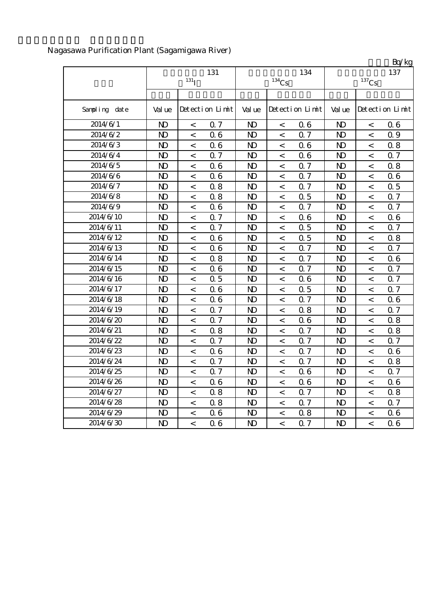|               |                |                    |                 |                |          |                 |                |                          | Bq/kg           |
|---------------|----------------|--------------------|-----------------|----------------|----------|-----------------|----------------|--------------------------|-----------------|
|               |                | 131                |                 |                | 134      | 137             |                |                          |                 |
|               |                | $131$ <sub>I</sub> |                 |                | $134$ Cs |                 |                | $137$ Cs                 |                 |
|               |                |                    |                 |                |          |                 |                |                          |                 |
| Sampling date | Val ue         |                    | Detection Limit | Val ue         |          | Detection Limit | Val ue         |                          | Detection Limit |
| 2014/6/1      | $\mathbf{D}$   | $\,<$              | 0.7             | $\mathbf{D}$   | $\,<$    | 06              | $\mathbf{D}$   | $\,<$                    | 0.6             |
| 2014/6/2      | $\mathbf{D}$   | $\,<$              | 06              | N <sub>D</sub> | $\,<\,$  | 0.7             | $\mathbf{D}$   | $\lt$                    | 0.9             |
| 2014/6/3      | $\mathbf{D}$   | $\,<$              | 06              | $\mathbf{D}$   | $\lt$    | 06              | $\mathbf{D}$   | $\,<$                    | 0.8             |
| 2014/6/4      | $\mathbf{D}$   | $\,<$              | 0.7             | N <sub>D</sub> | $\,<\,$  | 06              | N <sub>D</sub> | $\,<\,$                  | 0.7             |
| 2014/6/5      | $\mathbf{D}$   | $\,<$              | 06              | $\mathbf{D}$   | $\,<$    | Q 7             | N <sub>D</sub> | $\,<$                    | 0.8             |
| 2014/6/6      | $\mathbf{D}$   | $\,<$              | 06              | N <sub>D</sub> | $\,<$    | 0.7             | N <sub>D</sub> | $\,<\,$                  | 0.6             |
| 2014/6/7      | $\mathbf{D}$   | $\,<\,$            | 0.8             | N <sub>D</sub> | $\,<\,$  | 0.7             | N <sub>D</sub> | $\,<\,$                  | 0.5             |
| 2014/6/8      | $\mathbf{D}$   | $\,<$              | 0.8             | N <sub>D</sub> | $\,<\,$  | 0.5             | $\mathbf{D}$   | $\,<$                    | 0.7             |
| 2014/6/9      | $\mathbf{D}$   | $\,<$              | 06              | N <sub>D</sub> | $\,<\,$  | 0.7             | $\mathbf{D}$   | $\,<\,$                  | 0.7             |
| 2014/6/10     | $\mathbf{D}$   | $\,<$              | 0.7             | N <sub>D</sub> | $\,<\,$  | 06              | $\mathbf{D}$   | $\,<$                    | 0.6             |
| 2014/6/11     | $\mathbf{D}$   | $\,<$              | 0.7             | N <sub>D</sub> | $\,<\,$  | 0.5             | $\mathbf{D}$   | $\,<$                    | 0.7             |
| 2014/6/12     | $\mathbf{D}$   | $\,<$              | 06              | $\mathbf{D}$   | $\,<\,$  | 0.5             | $\mathbf{D}$   | $\,<$                    | 0.8             |
| 2014/6/13     | N <sub>D</sub> | $\,<$              | 06              | $\mathbf{D}$   | $\,<\,$  | Q 7             | N <sub>D</sub> | $\,<$                    | 0.7             |
| 2014/6/14     | $\mathbf{D}$   | $\,<$              | 0.8             | N <sub>D</sub> | $\,<\,$  | 0.7             | N <sub>D</sub> | $\overline{\phantom{a}}$ | 0.6             |
| 2014/6/15     | $\mathbf{D}$   | $\,<$              | 06              | N <sub>D</sub> | $\,<\,$  | 0.7             | N <sub>D</sub> | $\,<$                    | 0.7             |
| 2014/6/16     | $\mathbf{D}$   | $\,<$              | 0.5             | $\mathbf{D}$   | $\,<\,$  | 06              | $\mathbf{D}$   | $\,<\,$                  | 0.7             |
| 2014/6/17     | $\mathbf{D}$   | $\,<$              | 06              | $\mathbf{D}$   | $\,<$    | 0.5             | $\mathbf{D}$   | $\,<$                    | 0.7             |
| 2014/6/18     | $\mathbf{D}$   | $\,<$              | 06              | $\mathbf{D}$   | $\,<$    | Q 7             | N <sub>D</sub> | $\,<$                    | 0.6             |
| 2014/6/19     | $\mathbf{D}$   | $\,<$              | 0.7             | N <sub>D</sub> | $\,<\,$  | 0.8             | N <sub>D</sub> | $\,<\,$                  | 0.7             |
| 2014/6/20     | N <sub>D</sub> | $\,<$              | 0.7             | N <sub>D</sub> | $\,<\,$  | 06              | N <sub>D</sub> | $\,<$                    | 0.8             |
| 2014/6/21     | N <sub>D</sub> | $\,<$              | 0.8             | N <sub>D</sub> | $\,<\,$  | 0.7             | N <sub>D</sub> | $\,<$                    | 0.8             |
| 2014/6/22     | $\mathbf{D}$   | $\,<$              | 0.7             | N <sub>D</sub> | $\,<\,$  | 0.7             | $\mathbf{D}$   | $\,<$                    | 0.7             |
| 2014/6/23     | $\mathbf{D}$   | $\,<$              | 06              | N <sub>D</sub> | $\,<\,$  | 0.7             | N <sub>D</sub> | $\lt$                    | 0.6             |
| 2014/6/24     | $\mathbf{D}$   | $\,<$              | 0.7             | N <sub>D</sub> | $\,<$    | Q 7             | $\mathbf{D}$   | $\,<$                    | 0.8             |
| 2014/6/25     | $\mathbf{D}$   | $\,<$              | Q 7             | N <sub>D</sub> | $\,<$    | 06              | $\mathbf{D}$   | $\,<$                    | 0.7             |
| 2014/6/26     | $\mathbf{D}$   | $\,<$              | 06              | N <sub>D</sub> | $\,<\,$  | 06              | N <sub>D</sub> | $\,<\,$                  | 0.6             |
| 2014/6/27     | $\mathbf{D}$   | $\,<$              | 0.8             | $\mathbf{D}$   | $\,<\,$  | 0.7             | N <sub>D</sub> | $\,<$                    | 0.8             |
| 2014/6/28     | $\mathbf{D}$   | $\,<$              | 0.8             | N <sub>D</sub> | $\,<$    | 0.7             | $\mathbf{D}$   | $\,<$                    | 0.7             |
| 2014/6/29     | $\mathbf{D}$   | $\,<$              | 06              | N <sub>D</sub> | $\,<\,$  | 0.8             | N <sub>D</sub> | $\,<$                    | 0.6             |
| 2014/6/30     | $\mathbf{D}$   | $\prec$            | 06              | N <sub>D</sub> | $\,<\,$  | 0.7             | $\mathbf{D}$   | $\,<$                    | 0.6             |

## Nagasawa Purification Plant (Sagamigawa River)